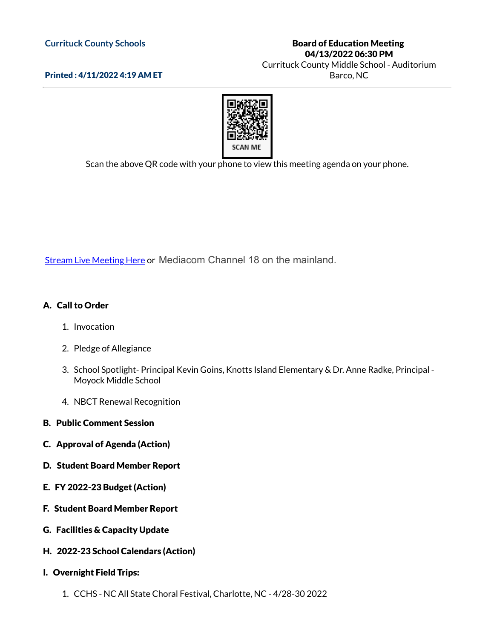#### **Currituck County Schools**

Printed : 4/11/2022 4:19 AM ET

### Board of Education Meeting 04/13/2022 06:30 PM

Currituck County Middle School - Auditorium Barco, NC



Scan the above QR code with your phone to view this meeting agenda on your phone.

**Stream Live [Meeting](http://currituckcountync.iqm2.com/Citizens/default.aspx) Here or Mediacom Channel 18 on the mainland.** 

# A. Call to Order

- 1. Invocation
- 2. Pledge of Allegiance
- 3. School Spotlight- Principal Kevin Goins, Knotts Island Elementary & Dr. Anne Radke, Principal Moyock Middle School
- 4. NBCT Renewal Recognition
- B. Public Comment Session
- C. Approval of Agenda (Action)
- D. Student Board Member Report
- E. FY 2022-23 Budget (Action)
- F. Student Board Member Report
- G. Facilities & Capacity Update
- H. 2022-23 School Calendars (Action)
- I. Overnight Field Trips:
	- 1. CCHS NC All State Choral Festival, Charlotte, NC 4/28-30 2022